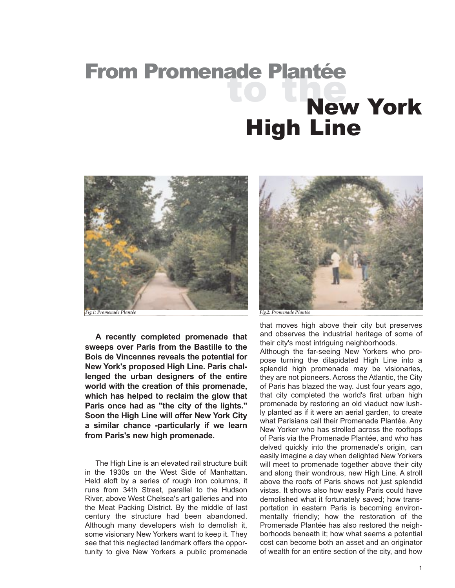## aue France<br>Lio Line From Promenade Plantée New York High Line



*Fig.1: Promenade Plantée Fig.2: Promenade Plantée*

**A recently completed promenade that sweeps over Paris from the Bastille to the Bois de Vincennes reveals the potential for New York's proposed High Line. Paris challenged the urban designers of the entire world with the creation of this promenade, which has helped to reclaim the glow that Paris once had as "the city of the lights." Soon the High Line will offer New York City a similar chance -particularly if we learn from Paris's new high promenade.**

The High Line is an elevated rail structure built in the 1930s on the West Side of Manhattan. Held aloft by a series of rough iron columns, it runs from 34th Street, parallel to the Hudson River, above West Chelsea's art galleries and into the Meat Packing District. By the middle of last century the structure had been abandoned. Although many developers wish to demolish it, some visionary New Yorkers want to keep it. They see that this neglected landmark offers the opportunity to give New Yorkers a public promenade



that moves high above their city but preserves and observes the industrial heritage of some of their city's most intriguing neighborhoods.

Although the far-seeing New Yorkers who propose turning the dilapidated High Line into a splendid high promenade may be visionaries, they are not pioneers. Across the Atlantic, the City of Paris has blazed the way. Just four years ago, that city completed the world's first urban high promenade by restoring an old viaduct now lushly planted as if it were an aerial garden, to create what Parisians call their Promenade Plantée. Any New Yorker who has strolled across the rooftops of Paris via the Promenade Plantée, and who has delved quickly into the promenade's origin, can easily imagine a day when delighted New Yorkers will meet to promenade together above their city and along their wondrous, new High Line. A stroll above the roofs of Paris shows not just splendid vistas. It shows also how easily Paris could have demolished what it fortunately saved; how transportation in eastern Paris is becoming environmentally friendly; how the restoration of the Promenade Plantée has also restored the neighborhoods beneath it; how what seems a potential cost can become both an asset and an originator of wealth for an entire section of the city, and how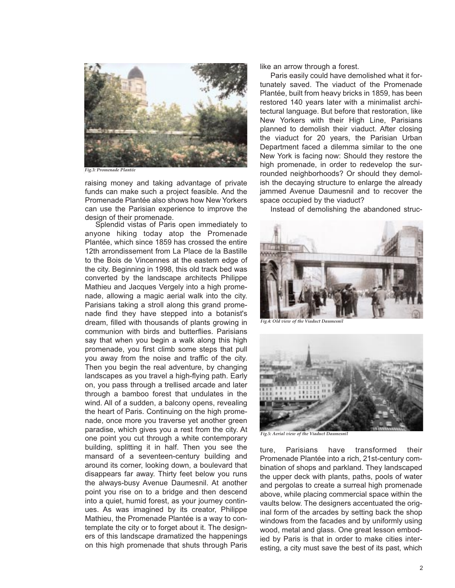

*Fig.3: Promenade Plantée*

raising money and taking advantage of private funds can make such a project feasible. And the Promenade Plantée also shows how New Yorkers can use the Parisian experience to improve the design of their promenade.

Splendid vistas of Paris open immediately to anyone hiking today atop the Promenade Plantée, which since 1859 has crossed the entire 12th arrondissement from La Place de la Bastille to the Bois de Vincennes at the eastern edge of the city. Beginning in 1998, this old track bed was converted by the landscape architects Philippe Mathieu and Jacques Vergely into a high promenade, allowing a magic aerial walk into the city. Parisians taking a stroll along this grand promenade find they have stepped into a botanist's dream, filled with thousands of plants growing in communion with birds and butterflies. Parisians say that when you begin a walk along this high promenade, you first climb some steps that pull you away from the noise and traffic of the city. Then you begin the real adventure, by changing landscapes as you travel a high-flying path. Early on, you pass through a trellised arcade and later through a bamboo forest that undulates in the wind. All of a sudden, a balcony opens, revealing the heart of Paris. Continuing on the high promenade, once more you traverse yet another green paradise, which gives you a rest from the city. At one point you cut through a white contemporary building, splitting it in half. Then you see the mansard of a seventeen-century building and around its corner, looking down, a boulevard that disappears far away. Thirty feet below you runs the always-busy Avenue Daumesnil. At another point you rise on to a bridge and then descend into a quiet, humid forest, as your journey continues. As was imagined by its creator, Philippe Mathieu, the Promenade Plantée is a way to contemplate the city or to forget about it. The designers of this landscape dramatized the happenings on this high promenade that shuts through Paris like an arrow through a forest.

Paris easily could have demolished what it fortunately saved. The viaduct of the Promenade Plantée, built from heavy bricks in 1859, has been restored 140 years later with a minimalist architectural language. But before that restoration, like New Yorkers with their High Line, Parisians planned to demolish their viaduct. After closing the viaduct for 20 years, the Parisian Urban Department faced a dilemma similar to the one New York is facing now: Should they restore the high promenade, in order to redevelop the surrounded neighborhoods? Or should they demolish the decaying structure to enlarge the already jammed Avenue Daumesnil and to recover the space occupied by the viaduct?

Instead of demolishing the abandoned struc-



*Fig.4: Old view of the Viaduct Daumesnil* 



*Fig.5: Aerial view of the Viaduct Daumesnil* 

ture, Parisians have transformed their Promenade Plantée into a rich, 21st-century combination of shops and parkland. They landscaped the upper deck with plants, paths, pools of water and pergolas to create a surreal high promenade above, while placing commercial space within the vaults below. The designers accentuated the original form of the arcades by setting back the shop windows from the facades and by uniformly using wood, metal and glass. One great lesson embodied by Paris is that in order to make cities interesting, a city must save the best of its past, which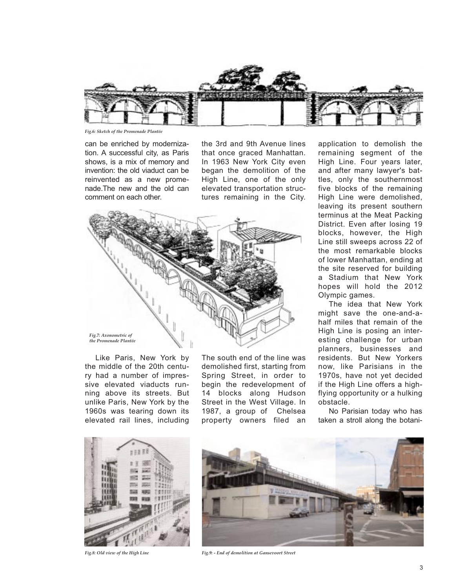

*Fig.6: Sketch of the Promenade Plantée* 

can be enriched by modernization. A successful city, as Paris shows, is a mix of memory and invention: the old viaduct can be reinvented as a new promenade.The new and the old can comment on each other.

the 3rd and 9th Avenue lines that once graced Manhattan. In 1963 New York City even began the demolition of the High Line, one of the only elevated transportation structures remaining in the City.



Like Paris, New York by the middle of the 20th century had a number of impressive elevated viaducts running above its streets. But unlike Paris, New York by the 1960s was tearing down its elevated rail lines, including The south end of the line was demolished first, starting from Spring Street, in order to begin the redevelopment of 14 blocks along Hudson Street in the West Village. In 1987, a group of Chelsea property owners filed an

application to demolish the remaining segment of the High Line. Four years later, and after many lawyer's battles, only the southernmost five blocks of the remaining High Line were demolished, leaving its present southern terminus at the Meat Packing District. Even after losing 19 blocks, however, the High Line still sweeps across 22 of the most remarkable blocks of lower Manhattan, ending at the site reserved for building a Stadium that New York hopes will hold the 2012 Olympic games.

The idea that New York might save the one-and-ahalf miles that remain of the High Line is posing an interesting challenge for urban planners, businesses and residents. But New Yorkers now, like Parisians in the 1970s, have not yet decided if the High Line offers a highflying opportunity or a hulking obstacle.

No Parisian today who has taken a stroll along the botani-





*Fig.8: Old view of the High Line Fig.9: - End of demolition at Gansevoort Street*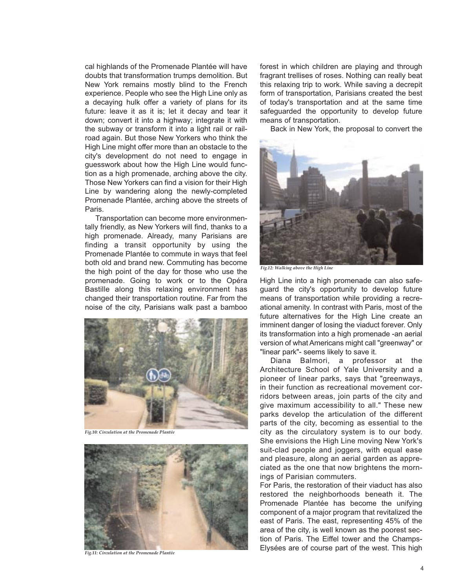cal highlands of the Promenade Plantée will have doubts that transformation trumps demolition. But New York remains mostly blind to the French experience. People who see the High Line only as a decaying hulk offer a variety of plans for its future: leave it as it is; let it decay and tear it down; convert it into a highway; integrate it with the subway or transform it into a light rail or railroad again. But those New Yorkers who think the High Line might offer more than an obstacle to the city's development do not need to engage in guesswork about how the High Line would function as a high promenade, arching above the city. Those New Yorkers can find a vision for their High Line by wandering along the newly-completed Promenade Plantée, arching above the streets of Paris.

Transportation can become more environmentally friendly, as New Yorkers will find, thanks to a high promenade. Already, many Parisians are finding a transit opportunity by using the Promenade Plantée to commute in ways that feel both old and brand new. Commuting has become the high point of the day for those who use the promenade. Going to work or to the Opéra Bastille along this relaxing environment has changed their transportation routine. Far from the noise of the city, Parisians walk past a bamboo



*Fig.10: Circulation at the Promenade Plantée* 



*Fig.11: Circulation at the Promenade Plantée* 

forest in which children are playing and through fragrant trellises of roses. Nothing can really beat this relaxing trip to work. While saving a decrepit form of transportation, Parisians created the best of today's transportation and at the same time safeguarded the opportunity to develop future means of transportation.

Back in New York, the proposal to convert the



*Fig.12: Walking above the High Line* 

High Line into a high promenade can also safeguard the city's opportunity to develop future means of transportation while providing a recreational amenity. In contrast with Paris, most of the future alternatives for the High Line create an imminent danger of losing the viaduct forever. Only its transformation into a high promenade -an aerial version of what Americans might call "greenway" or "linear park"- seems likely to save it.

Diana Balmori, a professor at the Architecture School of Yale University and a pioneer of linear parks, says that "greenways, in their function as recreational movement corridors between areas, join parts of the city and give maximum accessibility to all." These new parks develop the articulation of the different parts of the city, becoming as essential to the city as the circulatory system is to our body. She envisions the High Line moving New York's suit-clad people and joggers, with equal ease and pleasure, along an aerial garden as appreciated as the one that now brightens the mornings of Parisian commuters.

For Paris, the restoration of their viaduct has also restored the neighborhoods beneath it. The Promenade Plantée has become the unifying component of a major program that revitalized the east of Paris. The east, representing 45% of the area of the city, is well known as the poorest section of Paris. The Eiffel tower and the Champs-Elysées are of course part of the west. This high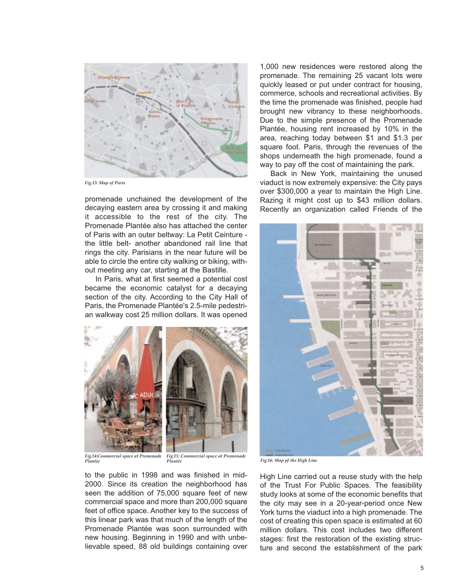

*Fig.13: Map of Paris* 

promenade unchained the development of the decaying eastern area by crossing it and making it accessible to the rest of the city. The Promenade Plantée also has attached the center of Paris with an outer beltway: La Petit Ceinture the little belt- another abandoned rail line that rings the city. Parisians in the near future will be able to circle the entire city walking or biking, without meeting any car, starting at the Bastille.

In Paris, what at first seemed a potential cost became the economic catalyst for a decaying section of the city. According to the City Hall of Paris, the Promenade Plantée's 2.5-mile pedestrian walkway cost 25 million dollars. It was opened



*Fig.14:Commercial space at Promenade Plantée* 

*Fig.15: Commercial space at Promenade Plantée Fig.16: Map pf the High Line* 

to the public in 1998 and was finished in mid-2000. Since its creation the neighborhood has seen the addition of 75,000 square feet of new commercial space and more than 200,000 square feet of office space. Another key to the success of this linear park was that much of the length of the Promenade Plantée was soon surrounded with new housing. Beginning in 1990 and with unbelievable speed, 88 old buildings containing over

1,000 new residences were restored along the promenade. The remaining 25 vacant lots were quickly leased or put under contract for housing, commerce, schools and recreational activities. By the time the promenade was finished, people had brought new vibrancy to these neighborhoods. Due to the simple presence of the Promenade Plantée, housing rent increased by 10% in the area, reaching today between \$1 and \$1.3 per square foot. Paris, through the revenues of the shops underneath the high promenade, found a way to pay off the cost of maintaining the park.

Back in New York, maintaining the unused viaduct is now extremely expensive: the City pays over \$300,000 a year to maintain the High Line. Razing it might cost up to \$43 million dollars. Recently an organization called Friends of the



High Line carried out a reuse study with the help of the Trust For Public Spaces. The feasibility study looks at some of the economic benefits that the city may see in a 20-year-period once New York turns the viaduct into a high promenade. The cost of creating this open space is estimated at 60 million dollars. This cost includes two different stages: first the restoration of the existing structure and second the establishment of the park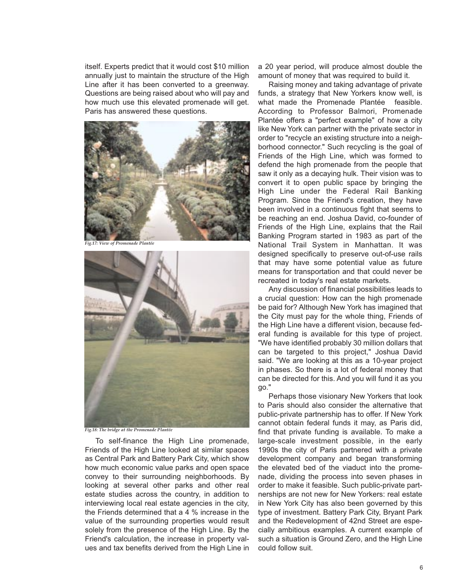itself. Experts predict that it would cost \$10 million annually just to maintain the structure of the High Line after it has been converted to a greenway. Questions are being raised about who will pay and how much use this elevated promenade will get. Paris has answered these questions.



*Fig.17: View of Promenade Plantée* 



*Fig.18: The bridge at the Promenade Plantée* 

To self-finance the High Line promenade, Friends of the High Line looked at similar spaces as Central Park and Battery Park City, which show how much economic value parks and open space convey to their surrounding neighborhoods. By looking at several other parks and other real estate studies across the country, in addition to interviewing local real estate agencies in the city, the Friends determined that a 4 % increase in the value of the surrounding properties would result solely from the presence of the High Line. By the Friend's calculation, the increase in property values and tax benefits derived from the High Line in a 20 year period, will produce almost double the amount of money that was required to build it.

Raising money and taking advantage of private funds, a strategy that New Yorkers know well, is what made the Promenade Plantée feasible. According to Professor Balmori, Promenade Plantée offers a "perfect example" of how a city like New York can partner with the private sector in order to "recycle an existing structure into a neighborhood connector." Such recycling is the goal of Friends of the High Line, which was formed to defend the high promenade from the people that saw it only as a decaying hulk. Their vision was to convert it to open public space by bringing the High Line under the Federal Rail Banking Program. Since the Friend's creation, they have been involved in a continuous fight that seems to be reaching an end. Joshua David, co-founder of Friends of the High Line, explains that the Rail Banking Program started in 1983 as part of the National Trail System in Manhattan. It was designed specifically to preserve out-of-use rails that may have some potential value as future means for transportation and that could never be recreated in today's real estate markets.

Any discussion of financial possibilities leads to a crucial question: How can the high promenade be paid for? Although New York has imagined that the City must pay for the whole thing, Friends of the High Line have a different vision, because federal funding is available for this type of project. "We have identified probably 30 million dollars that can be targeted to this project," Joshua David said. "We are looking at this as a 10-year project in phases. So there is a lot of federal money that can be directed for this. And you will fund it as you go."

Perhaps those visionary New Yorkers that look to Paris should also consider the alternative that public-private partnership has to offer. If New York cannot obtain federal funds it may, as Paris did, find that private funding is available. To make a large-scale investment possible, in the early 1990s the city of Paris partnered with a private development company and began transforming the elevated bed of the viaduct into the promenade, dividing the process into seven phases in order to make it feasible. Such public-private partnerships are not new for New Yorkers: real estate in New York City has also been governed by this type of investment. Battery Park City, Bryant Park and the Redevelopment of 42nd Street are especially ambitious examples. A current example of such a situation is Ground Zero, and the High Line could follow suit.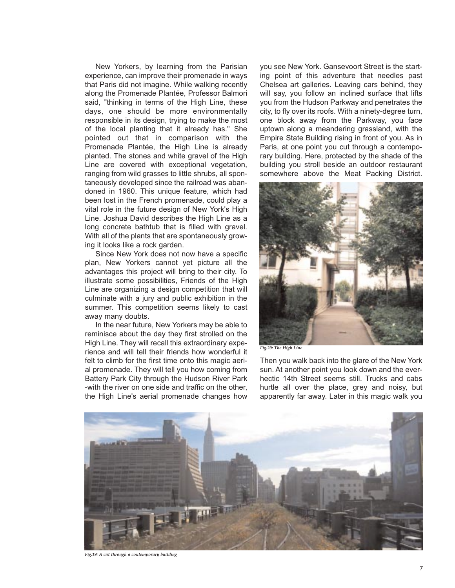New Yorkers, by learning from the Parisian experience, can improve their promenade in ways that Paris did not imagine. While walking recently along the Promenade Plantée, Professor Balmori said, "thinking in terms of the High Line, these days, one should be more environmentally responsible in its design, trying to make the most of the local planting that it already has." She pointed out that in comparison with the Promenade Plantée, the High Line is already planted. The stones and white gravel of the High Line are covered with exceptional vegetation, ranging from wild grasses to little shrubs, all spontaneously developed since the railroad was abandoned in 1960. This unique feature, which had been lost in the French promenade, could play a vital role in the future design of New York's High Line. Joshua David describes the High Line as a long concrete bathtub that is filled with gravel. With all of the plants that are spontaneously growing it looks like a rock garden.

Since New York does not now have a specific plan, New Yorkers cannot yet picture all the advantages this project will bring to their city. To illustrate some possibilities, Friends of the High Line are organizing a design competition that will culminate with a jury and public exhibition in the summer. This competition seems likely to cast away many doubts.

In the near future, New Yorkers may be able to reminisce about the day they first strolled on the High Line. They will recall this extraordinary experience and will tell their friends how wonderful it felt to climb for the first time onto this magic aerial promenade. They will tell you how coming from Battery Park City through the Hudson River Park -with the river on one side and traffic on the other, the High Line's aerial promenade changes how

you see New York. Gansevoort Street is the starting point of this adventure that needles past Chelsea art galleries. Leaving cars behind, they will say, you follow an inclined surface that lifts you from the Hudson Parkway and penetrates the city, to fly over its roofs. With a ninety-degree turn, one block away from the Parkway, you face uptown along a meandering grassland, with the Empire State Building rising in front of you. As in Paris, at one point you cut through a contemporary building. Here, protected by the shade of the building you stroll beside an outdoor restaurant somewhere above the Meat Packing District.



*Fig.20: The High Line* 

Then you walk back into the glare of the New York sun. At another point you look down and the everhectic 14th Street seems still. Trucks and cabs hurtle all over the place, grey and noisy, but apparently far away. Later in this magic walk you



*Fig.19: A cut through a contemporary building*